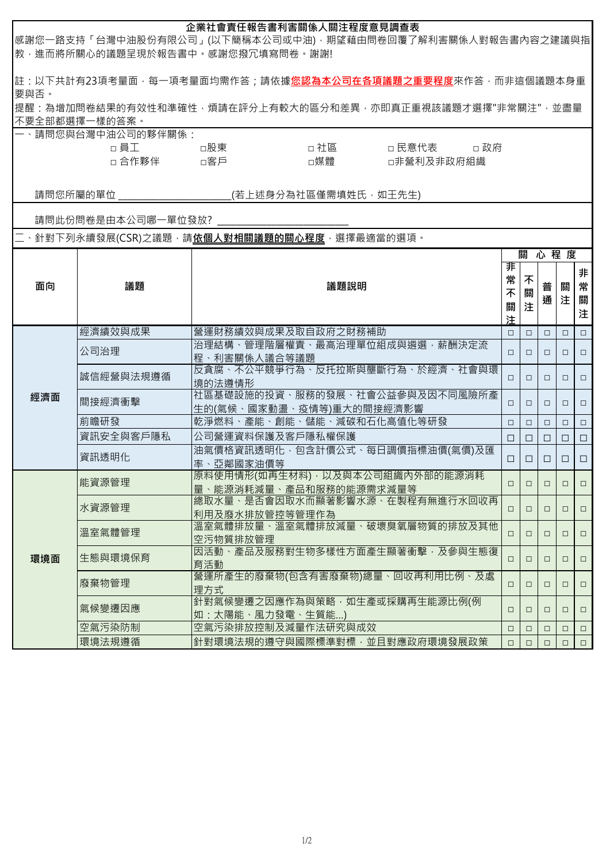|      |                                           | 企業社會責任報告書利害關係人關注程度意見調查表<br> 感謝您一路支持「台灣中油股份有限公司」(以下簡稱本公司或中油)·期望藉由問卷回覆了解利害關係人對報告書內容之建議與指<br>教,進而將所關心的議題呈現於報告書中。感謝您撥冗填寫問卷。謝謝!              |                  |             |        |        |                  |
|------|-------------------------------------------|-----------------------------------------------------------------------------------------------------------------------------------------|------------------|-------------|--------|--------|------------------|
| 要與否。 | 不要全部都選擇一樣的答案。                             | ▌註:以下共計有23項考量面,每一項考量面均需作答;請依據 <u>您<b>認為本公司在各項議題之重要程度</b>來作答,而非這個議題本身重</u><br>┃提醒:為增加問卷結果的有效性和準確性,煩請在評分上有較大的區分和差異,亦即真正重視該議題才選擇"非常關注",並盡量 |                  |             |        |        |                  |
|      | 一、請問您與台灣中油公司的夥伴關係:<br>□員工<br>□ 合作夥伴 □ □客戶 | □ 社區 ロロ □ 民意代表 しんじん ごうしん しんきょう<br>□股東<br>□ 政府<br>□媒體<br>□非營利及非政府組織                                                                      |                  |             |        |        |                  |
|      | 請問您所屬的單位 ____________                     | (若上述身分為社區僅需填姓氏,如王先生)                                                                                                                    |                  |             |        |        |                  |
|      | 請問此份問卷是由本公司哪一單位發放?                        |                                                                                                                                         |                  |             |        |        |                  |
|      |                                           | 二、針對下列永續發展(CSR)之議題,請 <u><b>依個人對相關議題的關心程度</b>,選擇最適當的選項。</u>                                                                              |                  |             |        |        |                  |
|      |                                           |                                                                                                                                         | 非                | 關           | 心程度    |        |                  |
| 面向   | 議題                                        | 議題說明                                                                                                                                    | 常<br>不<br>關<br>注 | 不<br>關<br>注 | 普<br>通 | 關<br>注 | 非<br>常<br>關<br>注 |
|      | 經濟績效與成果                                   | 營運財務績效與成果及取自政府之財務補助                                                                                                                     | $\Box$           | $\Box$      | $\Box$ | $\Box$ | $\Box$           |
|      | 公司治理                                      | 治理結構、管理階層權責、最高治理單位組成與遴選,薪酬決定流 <br> 程、利害關係人議合等議題                                                                                         | $\Box$           | □           | □      | $\Box$ | $\Box$           |
|      | 誠信經營與法規遵循                                 | 反貪腐、不公平競爭行為、反托拉斯與壟斷行為、於經濟、社會與環<br> 境的法遵情形                                                                                               | $\Box$           | $\Box$      | □      | □      | $\Box$           |
| 經濟面  | 間接經濟衝擊                                    | 社區基礎設施的投資、服務的發展、社會公益參與及因不同風險所產 <br> 生的(氣候、國家動盪、疫情等)重大的間接經濟影響                                                                            | $\Box$           | $\Box$      | □      | $\Box$ | $\Box$           |
|      | 前瞻研發                                      | 乾淨燃料、產能、創能、儲能、減碳和石化高值化等研發                                                                                                               | $\Box$           | □           | □      | $\Box$ | $\Box$           |
|      | 資訊安全與客戶隱私                                 | 公司營運資料保護及客戶隱私權保護                                                                                                                        | $\Box$           | $\Box$      | $\Box$ | $\Box$ | $\Box$           |
|      | 資訊透明化                                     | 油氣價格資訊透明化,包含計價公式、每日調價指標油價(氣價)及匯 <br>率、亞鄰國家油價等                                                                                           | $\Box$           | □           | ⊔      | $\Box$ | $\Box$           |
|      | 能資源管理                                     | 原料使用情形(如再生材料),以及與本公司組織內外部的能源消耗<br>量、能源消耗減量、產品和服務的能源需求減量等                                                                                | $\Box$           | $\Box$      | □      | □      | $\Box$           |
| 環境面  | 水資源管理                                     | 總取水量、是否會因取水而顯著影響水源、在製程有無進行水回收再<br> 利用及廢水排放管控等管理作為                                                                                       | $\Box$           | □           | □      | □      | $\Box$           |
|      | 溫室氣體管理                                    | 溫室氣體排放量、溫室氣體排放減量、破壞臭氧層物質的排放及其他<br>空污物質排放管理                                                                                              | $\Box$           | $\Box$      | $\Box$ | □      | $\Box$           |
|      | 生態與環境保育                                   | 因活動、產品及服務對生物多樣性方面產生顯著衝擊,及參與生態復<br>育活動                                                                                                   | $\Box$           | □           | □      | □      | $\Box$           |
|      | 廢棄物管理                                     | 營運所產生的廢棄物(包含有害廢棄物)總量、回收再利用比例、及處<br> 理方式                                                                                                 | $\Box$           | $\Box$      | ⊔      | □      | $\Box$           |
|      | 氣候變遷因應                                    | 針對氣候變遷之因應作為與策略・如生產或採購再生能源比例(例<br> 如:太陽能、風力發電、生質能)                                                                                       | $\Box$           | $\Box$      | □      | $\Box$ | $\Box$           |
|      | 空氣污染防制                                    | 空氣污染排放控制及減量作法研究與成效                                                                                                                      | $\Box$           | □           | □      | $\Box$ | $\Box$           |
|      | 環境法規遵循                                    | 針對環境法規的遵守與國際標準對標,並且對應政府環境發展政策                                                                                                           | $\Box$           |             | П      | $\Box$ | $\Box$           |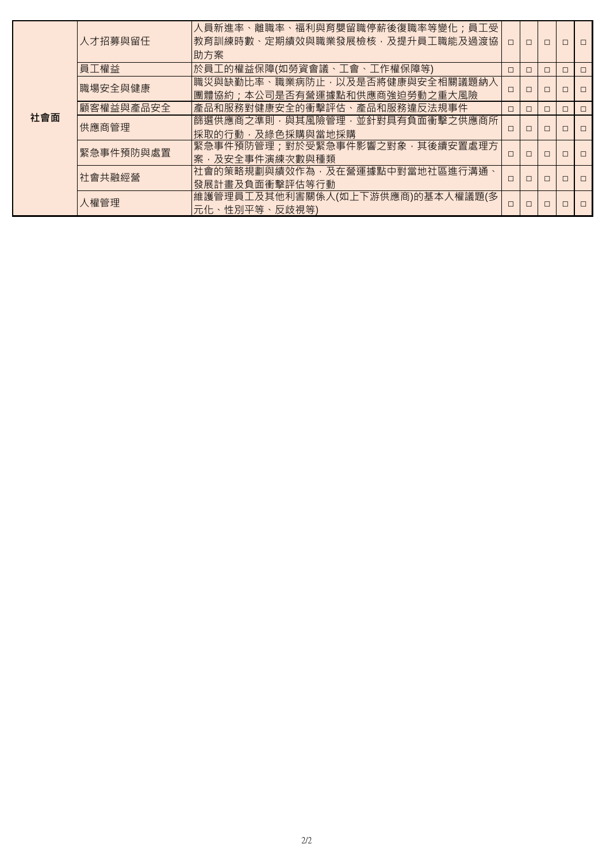| 社會面 | 人才招募與留任   | 人員新進率、離職率、福利與育嬰留職停薪後復職率等變化;員工受<br> 教育訓練時數、定期績效與職業發展檢核,及提升員工職能及過渡協 <br>助方案 | $\Box$ | $\Box$ | $\Box$ | $\Box$ | $\Box$ |
|-----|-----------|---------------------------------------------------------------------------|--------|--------|--------|--------|--------|
|     | 員工權益      | 於員工的權益保障(如勞資會議、工會、工作權保障等)                                                 | $\Box$ | $\Box$ | $\Box$ | $\Box$ | $\Box$ |
|     | 職場安全與健康   | 職災與缺勤比率、職業病防止,以及是否將健康與安全相關議題納入 <br> 團體協約;本公司是否有營運據點和供應商強迫勞動之重大風險          | $\Box$ | $\Box$ | $\Box$ | $\Box$ | $\Box$ |
|     | 顧客權益與產品安全 | <b> 產品和服務對健康安全的衝擊評估、產品和服務違反法規事件</b>                                       | $\Box$ | $\Box$ | $\Box$ | $\Box$ | $\Box$ |
|     | 供應商管理     | 篩選供應商之準則,與其風險管理,並針對具有負面衝擊之供應商所 <br> 採取的行動 · 及綠色採購與當地採購                    | $\Box$ | $\Box$ | $\Box$ | $\Box$ | $\Box$ |
|     | 緊急事件預防與處置 | 緊急事件預防管理;對於受緊急事件影響之對象,其後續安置處理方<br> 案‧及安全事件演練次數與種類                         | $\Box$ | $\Box$ | П      | $\Box$ | $\Box$ |
|     | 社會共融經營    | <b> 社會的策略規劃與績效作為·及在營運據點中對當地社區進行溝通、</b><br> 發展計畫及負面衝擊評估等行動                 | $\Box$ | $\Box$ | П      | $\Box$ | $\Box$ |
|     | 人權管理      | 維護管理員工及其他利害關係人(如上下游供應商)的基本人權議題(多<br> 元化、性別平等、反歧視等)                        | $\Box$ | $\Box$ | $\Box$ | $\Box$ | $\Box$ |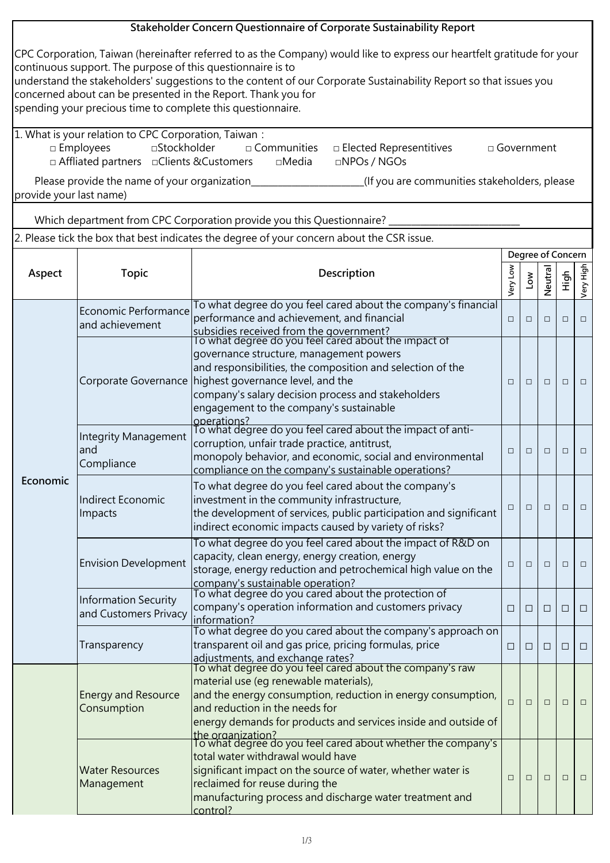1. What is your relation to CPC Corporation, Taiwan: □ Employees □Stockholder □ Communities □ Elected Representitives □ Government

□ Affliated partners □ Clients & Customers □Media □NPOs / NGOs

Please provide the name of your organization\_\_\_\_\_\_\_\_\_\_\_\_\_\_\_\_\_\_\_\_\_\_\_\_(If you are communities stakeholders, please provide your last name)

Which department from CPC Corporation provide you this Questionnaire?

|          | <b>Topic</b>                                         | Description                                                                                                                                                                                                                                                                                       |          | Degree of Concern |         |        |           |
|----------|------------------------------------------------------|---------------------------------------------------------------------------------------------------------------------------------------------------------------------------------------------------------------------------------------------------------------------------------------------------|----------|-------------------|---------|--------|-----------|
| Aspect   |                                                      |                                                                                                                                                                                                                                                                                                   | Very Low | Low               | Neutral | High   | Very High |
| Economic | <b>Economic Performance</b><br>and achievement       | To what degree do you feel cared about the company's financial<br>performance and achievement, and financial<br>subsidies received from the government?<br> To what degree do you feel cared about the impact of                                                                                  | $\Box$   | $\Box$            | $\Box$  | $\Box$ | $\Box$    |
|          |                                                      | governance structure, management powers<br>and responsibilities, the composition and selection of the<br>Corporate Governance   highest governance level, and the<br>company's salary decision process and stakeholders<br>engagement to the company's sustainable                                | □        | $\Box$            | $\Box$  | $\Box$ | $\Box$    |
|          | <b>Integrity Management</b><br>and<br>Compliance     | operations?<br>To what degree do you feel cared about the impact of anti-<br>corruption, unfair trade practice, antitrust,<br>monopoly behavior, and economic, social and environmental<br>compliance on the company's sustainable operations?                                                    | $\Box$   | $\Box$            | $\Box$  | $\Box$ | $\Box$    |
|          | <b>Indirect Economic</b><br>Impacts                  | To what degree do you feel cared about the company's<br>investment in the community infrastructure,<br>the development of services, public participation and significant<br>indirect economic impacts caused by variety of risks?                                                                 | □        | $\Box$            | $\Box$  | $\Box$ | $\Box$    |
|          | <b>Envision Development</b>                          | To what degree do you feel cared about the impact of R&D on<br>capacity, clean energy, energy creation, energy<br>storage, energy reduction and petrochemical high value on the<br>company's sustainable operation?                                                                               | $\Box$   | $\Box$            | $\Box$  | $\Box$ | $\Box$    |
|          | <b>Information Security</b><br>and Customers Privacy | To what degree do you cared about the protection of<br>company's operation information and customers privacy<br>linformation?                                                                                                                                                                     | $\Box$   | $\Box$            | $\Box$  | $\Box$ | $\Box$    |
|          | Transparency                                         | To what degree do you cared about the company's approach on  <br>transparent oil and gas price, pricing formulas, price<br>adjustments, and exchange rates?<br><mark>To what degree do you feel cared about the company's raw-</mark>                                                             | $\Box$   | $\Box$            | $\Box$  | $\Box$ | $\Box$    |
|          | <b>Energy and Resource</b><br>Consumption            | material use (eg renewable materials),<br>and the energy consumption, reduction in energy consumption,<br>and reduction in the needs for<br>energy demands for products and services inside and outside of                                                                                        | $\Box$   | $\Box$            | $\Box$  | $\Box$ | $\Box$    |
|          | <b>Water Resources</b><br>Management                 | the organization?<br> To what degree do you feel cared about whether the company's  <br>total water withdrawal would have<br>significant impact on the source of water, whether water is<br>reclaimed for reuse during the<br>manufacturing process and discharge water treatment and<br>control? | $\Box$   | $\Box$            | $\Box$  | $\Box$ | $\Box$    |

## **Stakeholder Concern Questionnaire of Corporate Sustainability Report**

CPC Corporation, Taiwan (hereinafter referred to as the Company) would like to express our heartfelt gratitude for your continuous support. The purpose of this questionnaire is to understand the stakeholders' suggestions to the content of our Corporate Sustainability Report so that issues you concerned about can be presented in the Report. Thank you for spending your precious time to complete this questionnaire.

2. Please tick the box that best indicates the degree of your concern about the CSR issue.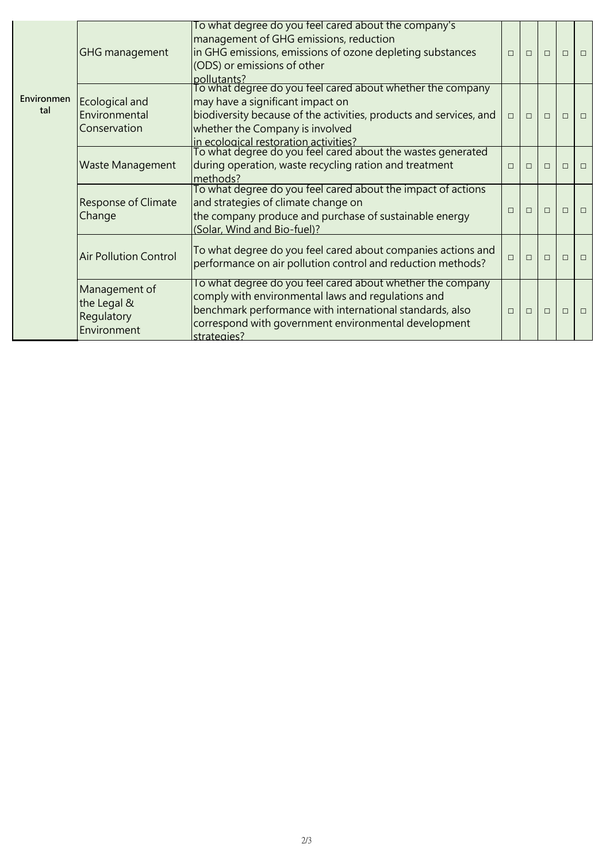|            |                                                           | To what degree do you feel cared about the company's                                                                                                                                                                                                |        |        |        |        |        |
|------------|-----------------------------------------------------------|-----------------------------------------------------------------------------------------------------------------------------------------------------------------------------------------------------------------------------------------------------|--------|--------|--------|--------|--------|
|            | <b>GHG management</b>                                     | management of GHG emissions, reduction<br>in GHG emissions, emissions of ozone depleting substances                                                                                                                                                 | $\Box$ | $\Box$ | $\Box$ | $\Box$ | $\Box$ |
|            |                                                           | (ODS) or emissions of other<br>pollutants?                                                                                                                                                                                                          |        |        |        |        |        |
| Environmen |                                                           | To what degree do you feel cared about whether the company                                                                                                                                                                                          |        |        |        |        |        |
| tal        | <b>Ecological and</b><br>Environmental                    | may have a significant impact on<br>biodiversity because of the activities, products and services, and                                                                                                                                              | $\Box$ | $\Box$ | $\Box$ | $\Box$ | $\Box$ |
|            | Conservation                                              | whether the Company is involved                                                                                                                                                                                                                     |        |        |        |        |        |
|            |                                                           | in ecological restoration activities?<br> To what degree do you feel cared about the wastes generated                                                                                                                                               |        |        |        |        |        |
|            | <b>Waste Management</b>                                   |                                                                                                                                                                                                                                                     |        |        |        |        |        |
|            |                                                           | during operation, waste recycling ration and treatment<br>methods?                                                                                                                                                                                  | $\Box$ | $\Box$ | $\Box$ | $\Box$ | $\Box$ |
|            | <b>Response of Climate</b><br>Change                      | To what degree do you feel cared about the impact of actions                                                                                                                                                                                        |        |        |        |        |        |
|            |                                                           | and strategies of climate change on                                                                                                                                                                                                                 | $\Box$ | $\Box$ | $\Box$ | $\Box$ | $\Box$ |
|            |                                                           | the company produce and purchase of sustainable energy<br>(Solar, Wind and Bio-fuel)?                                                                                                                                                               |        |        |        |        |        |
|            | <b>Air Pollution Control</b>                              | To what degree do you feel cared about companies actions and<br>performance on air pollution control and reduction methods?                                                                                                                         | □      | $\Box$ | $\Box$ | $\Box$ | $\Box$ |
|            | Management of<br>the Legal &<br>Regulatory<br>Environment | To what degree do you feel cared about whether the company<br>comply with environmental laws and regulations and<br>benchmark performance with international standards, also<br>correspond with government environmental development<br>strategies? | $\Box$ | $\Box$ | $\Box$ | $\Box$ | $\Box$ |